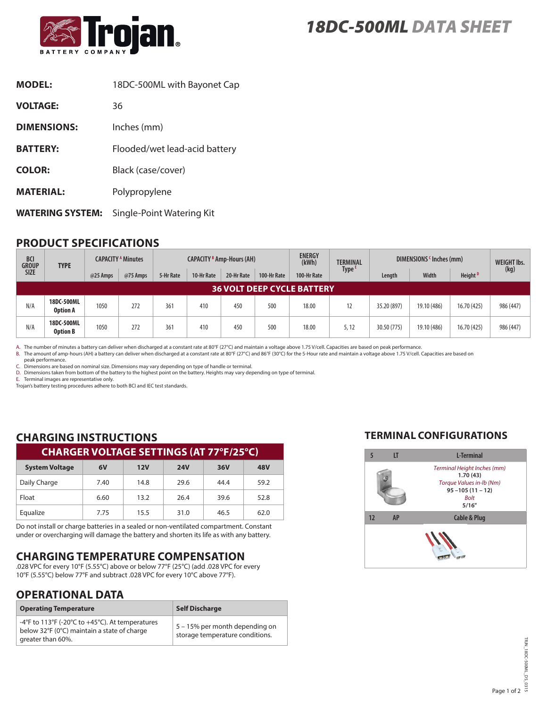

| <b>MODEL:</b>           | 18DC-500ML with Bayonet Cap   |
|-------------------------|-------------------------------|
| <b>VOLTAGE:</b>         | 36                            |
| <b>DIMENSIONS:</b>      | Inches (mm)                   |
| <b>BATTERY:</b>         | Flooded/wet lead-acid battery |
| <b>COLOR:</b>           | Black (case/cover)            |
| <b>MATERIAL:</b>        | Polypropylene                 |
| <b>WATERING SYSTEM:</b> | Single-Point Watering Kit     |

## **PRODUCT SPECIFICATIONS**

| <b>BCI</b><br><b>GROUP</b><br><b>SIZE</b> | <b>TYPE</b>                   | <b>CAPACITY <sup>A</sup> Minutes</b> |          | <b>CAPACITY B Amp-Hours (AH)</b> |            |            | <b>ENERGY</b><br>(kWh) | <b>TERMINAL</b> | DIMENSIONS <sup>c</sup> Inches (mm) |             |             | <b>WEIGHT Ibs.</b>  |           |
|-------------------------------------------|-------------------------------|--------------------------------------|----------|----------------------------------|------------|------------|------------------------|-----------------|-------------------------------------|-------------|-------------|---------------------|-----------|
|                                           |                               | @25 Amps                             | @75 Amps | 5-Hr Rate                        | 10-Hr Rate | 20-Hr Rate | 100-Hr Rate            | 100-Hr Rate     | Type <sup>E</sup>                   | Length      | Width       | Height <sup>D</sup> | (kg)      |
| <b>36 VOLT DEEP CYCLE BATTERY</b>         |                               |                                      |          |                                  |            |            |                        |                 |                                     |             |             |                     |           |
| N/A                                       | 18DC-500ML<br><b>Option A</b> | 1050                                 | 272      | 361                              | 410        | 450        | 500                    | 18.00           | 12                                  | 35.20 (897) | 19.10 (486) | 16.70 (425)         | 986 (447) |
| N/A                                       | 18DC-500ML<br><b>Option B</b> | 1050                                 | 272      | 361                              | 410        | 450        | 500                    | 18.00           | 5, 12                               | 30.50 (775) | 19.10 (486) | 16.70 (425)         | 986 (447) |

A. The number of minutes a battery can deliver when discharged at a constant rate at 80°F (27°C) and maintain a voltage above 1.75 V/cell. Capacities are based on peak performance.

B. The amount of amp-hours (AH) a battery can deliver when discharged at a constant rate at 80°F (27°C) and 86°F (30°C) for the 5-Hour rate and maintain a voltage above 1.75 V/cell. Capacities are based on

peak performance. C. Dimensions are based on nominal size. Dimensions may vary depending on type of handle or terminal.

D. Dimensions taken from bottom of the battery to the highest point on the battery. Heights may vary depending on type of terminal.

E. Terminal images are representative only.

Trojan's battery testing procedures adhere to both BCI and IEC test standards.

# **CHARGING INSTRUCTIONS**

| <b>CHARGER VOLTAGE SETTINGS (AT 77°F/25°C)</b> |      |      |            |      |      |  |  |
|------------------------------------------------|------|------|------------|------|------|--|--|
| <b>System Voltage</b>                          | 6V   | 12V  | <b>24V</b> | 36V  | 48V  |  |  |
| Daily Charge                                   | 7.40 | 14.8 | 29.6       | 44.4 | 59.2 |  |  |
| Float                                          | 6.60 | 13.2 | 26.4       | 39.6 | 52.8 |  |  |
| Equalize                                       | 7.75 | 15.5 | 31.0       | 46.5 | 62.0 |  |  |

Do not install or charge batteries in a sealed or non-ventilated compartment. Constant under or overcharging will damage the battery and shorten its life as with any battery.

# **CHARGING TEMPERATURE COMPENSATION**

.028 VPC for every 10°F (5.55°C) above or below 77°F (25°C) (add .028 VPC for every 10°F (5.55°C) below 77°F and subtract .028 VPC for every 10°C above 77°F).

## **OPERATIONAL DATA**

| <b>Operating Temperature</b>                                                                                        | <b>Self Discharge</b>                                             |
|---------------------------------------------------------------------------------------------------------------------|-------------------------------------------------------------------|
| -4°F to 113°F (-20°C to +45°C). At temperatures<br>below 32°F (0°C) maintain a state of charge<br>greater than 60%. | 5 – 15% per month depending on<br>storage temperature conditions. |

## **TERMINAL CONFIGURATIONS**